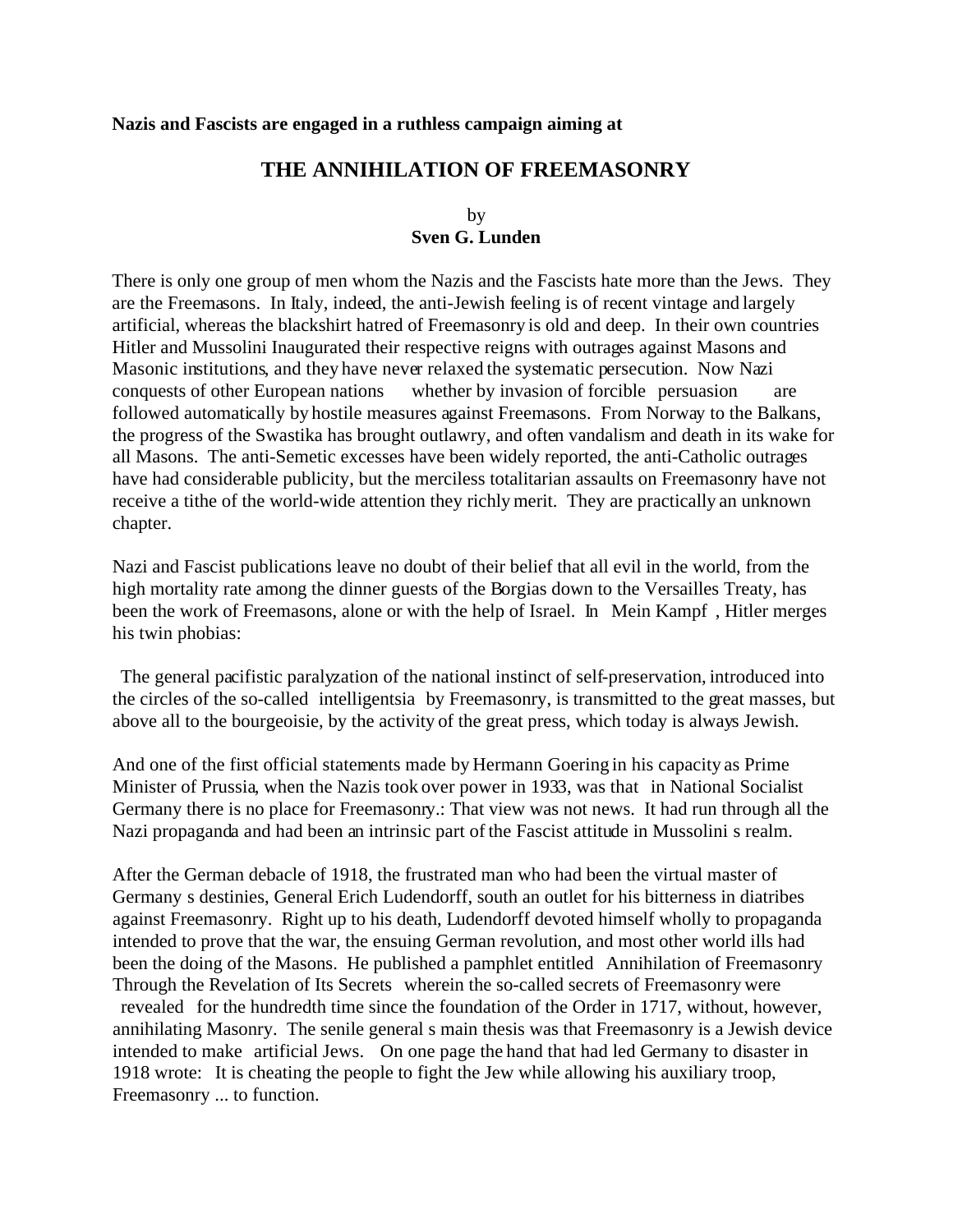#### **Nazis and Fascists are engaged in a ruthless campaign aiming at**

# **THE ANNIHILATION OF FREEMASONRY**

#### by **Sven G. Lunden**

There is only one group of men whom the Nazis and the Fascists hate more than the Jews. They are the Freemasons. In Italy, indeed, the anti-Jewish feeling is of recent vintage and largely artificial, whereas the blackshirt hatred of Freemasonry is old and deep. In their own countries Hitler and Mussolini Inaugurated their respective reigns with outrages against Masons and Masonic institutions, and they have never relaxed the systematic persecution. Now Nazi conquests of other European nations whether by invasion of forcible persuasion are followed automatically by hostile measures against Freemasons. From Norway to the Balkans, the progress of the Swastika has brought outlawry, and often vandalism and death in its wake for all Masons. The anti-Semetic excesses have been widely reported, the anti-Catholic outrages have had considerable publicity, but the merciless totalitarian assaults on Freemasonry have not receive a tithe of the world-wide attention they richly merit. They are practically an unknown chapter.

Nazi and Fascist publications leave no doubt of their belief that all evil in the world, from the high mortality rate among the dinner guests of the Borgias down to the Versailles Treaty, has been the work of Freemasons, alone or with the help of Israel. In Mein Kampf , Hitler merges his twin phobias:

 The general pacifistic paralyzation of the national instinct of self-preservation, introduced into the circles of the so-called intelligentsia by Freemasonry, is transmitted to the great masses, but above all to the bourgeoisie, by the activity of the great press, which today is always Jewish.

And one of the first official statements made by Hermann Goering in his capacity as Prime Minister of Prussia, when the Nazis took over power in 1933, was that in National Socialist Germany there is no place for Freemasonry.: That view was not news. It had run through all the Nazi propaganda and had been an intrinsic part of the Fascist attitude in Mussolini s realm.

After the German debacle of 1918, the frustrated man who had been the virtual master of Germany s destinies, General Erich Ludendorff, south an outlet for his bitterness in diatribes against Freemasonry. Right up to his death, Ludendorff devoted himself wholly to propaganda intended to prove that the war, the ensuing German revolution, and most other world ills had been the doing of the Masons. He published a pamphlet entitled Annihilation of Freemasonry Through the Revelation of Its Secrets wherein the so-called secrets of Freemasonry were revealed for the hundredth time since the foundation of the Order in 1717, without, however, annihilating Masonry. The senile general s main thesis was that Freemasonry is a Jewish device intended to make artificial Jews. On one page the hand that had led Germany to disaster in 1918 wrote: It is cheating the people to fight the Jew while allowing his auxiliary troop, Freemasonry ... to function.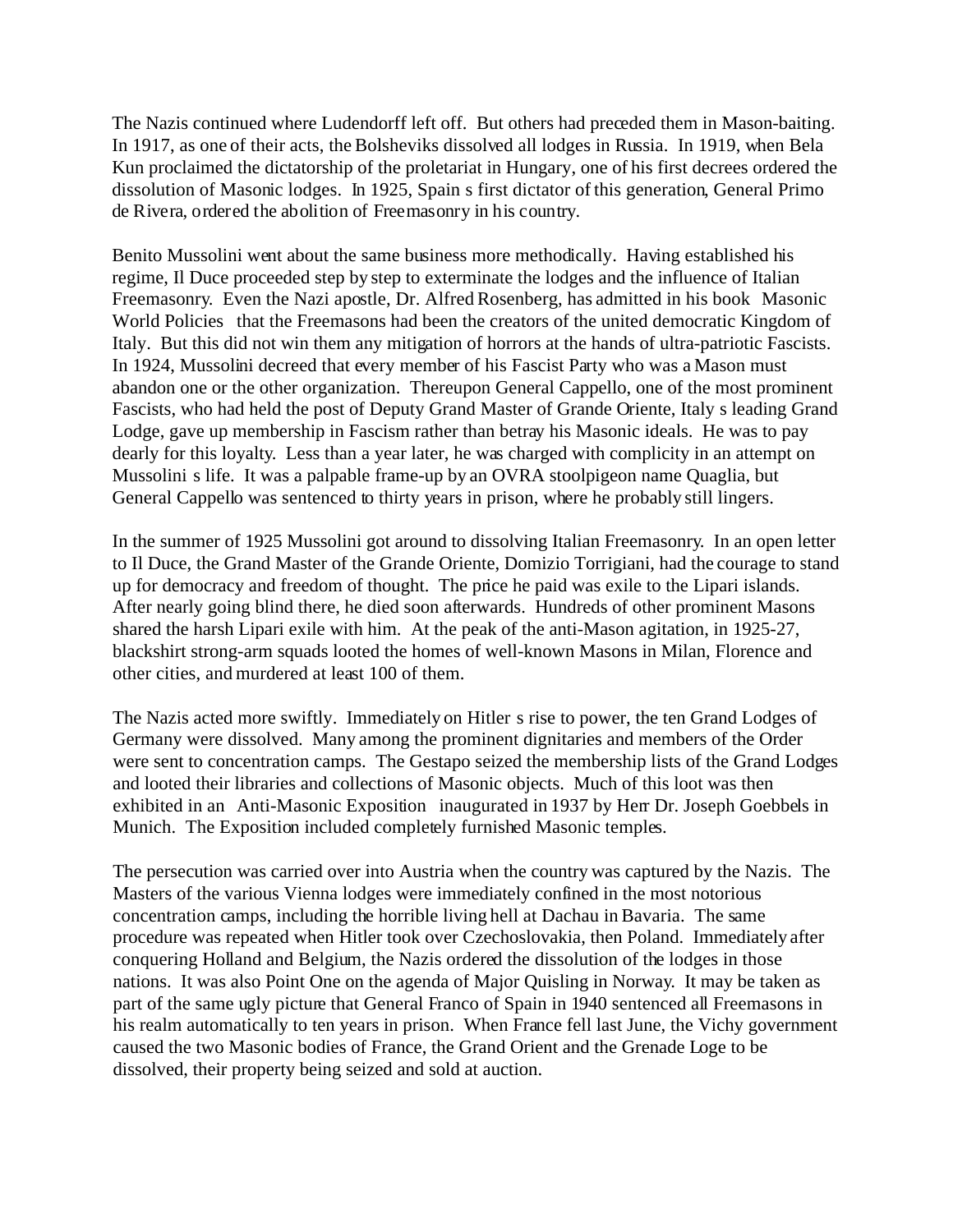The Nazis continued where Ludendorff left off. But others had preceded them in Mason-baiting. In 1917, as one of their acts, the Bolsheviks dissolved all lodges in Russia. In 1919, when Bela Kun proclaimed the dictatorship of the proletariat in Hungary, one of his first decrees ordered the dissolution of Masonic lodges. In 1925, Spain s first dictator of this generation, General Primo de Rivera, ordered the abolition of Freemasonry in his country.

Benito Mussolini went about the same business more methodically. Having established his regime, Il Duce proceeded step by step to exterminate the lodges and the influence of Italian Freemasonry. Even the Nazi apostle, Dr. Alfred Rosenberg, has admitted in his book Masonic World Policies that the Freemasons had been the creators of the united democratic Kingdom of Italy. But this did not win them any mitigation of horrors at the hands of ultra-patriotic Fascists. In 1924, Mussolini decreed that every member of his Fascist Party who was a Mason must abandon one or the other organization. Thereupon General Cappello, one of the most prominent Fascists, who had held the post of Deputy Grand Master of Grande Oriente, Italy s leading Grand Lodge, gave up membership in Fascism rather than betray his Masonic ideals. He was to pay dearly for this loyalty. Less than a year later, he was charged with complicity in an attempt on Mussolini s life. It was a palpable frame-up by an OVRA stoolpigeon name Quaglia, but General Cappello was sentenced to thirty years in prison, where he probably still lingers.

In the summer of 1925 Mussolini got around to dissolving Italian Freemasonry. In an open letter to Il Duce, the Grand Master of the Grande Oriente, Domizio Torrigiani, had the courage to stand up for democracy and freedom of thought. The price he paid was exile to the Lipari islands. After nearly going blind there, he died soon afterwards. Hundreds of other prominent Masons shared the harsh Lipari exile with him. At the peak of the anti-Mason agitation, in 1925-27, blackshirt strong-arm squads looted the homes of well-known Masons in Milan, Florence and other cities, and murdered at least 100 of them.

The Nazis acted more swiftly. Immediately on Hitler s rise to power, the ten Grand Lodges of Germany were dissolved. Many among the prominent dignitaries and members of the Order were sent to concentration camps. The Gestapo seized the membership lists of the Grand Lodges and looted their libraries and collections of Masonic objects. Much of this loot was then exhibited in an Anti-Masonic Exposition inaugurated in 1937 by Herr Dr. Joseph Goebbels in Munich. The Exposition included completely furnished Masonic temples.

The persecution was carried over into Austria when the country was captured by the Nazis. The Masters of the various Vienna lodges were immediately confined in the most notorious concentration camps, including the horrible living hell at Dachau in Bavaria. The same procedure was repeated when Hitler took over Czechoslovakia, then Poland. Immediately after conquering Holland and Belgium, the Nazis ordered the dissolution of the lodges in those nations. It was also Point One on the agenda of Major Quisling in Norway. It may be taken as part of the same ugly picture that General Franco of Spain in 1940 sentenced all Freemasons in his realm automatically to ten years in prison. When France fell last June, the Vichy government caused the two Masonic bodies of France, the Grand Orient and the Grenade Loge to be dissolved, their property being seized and sold at auction.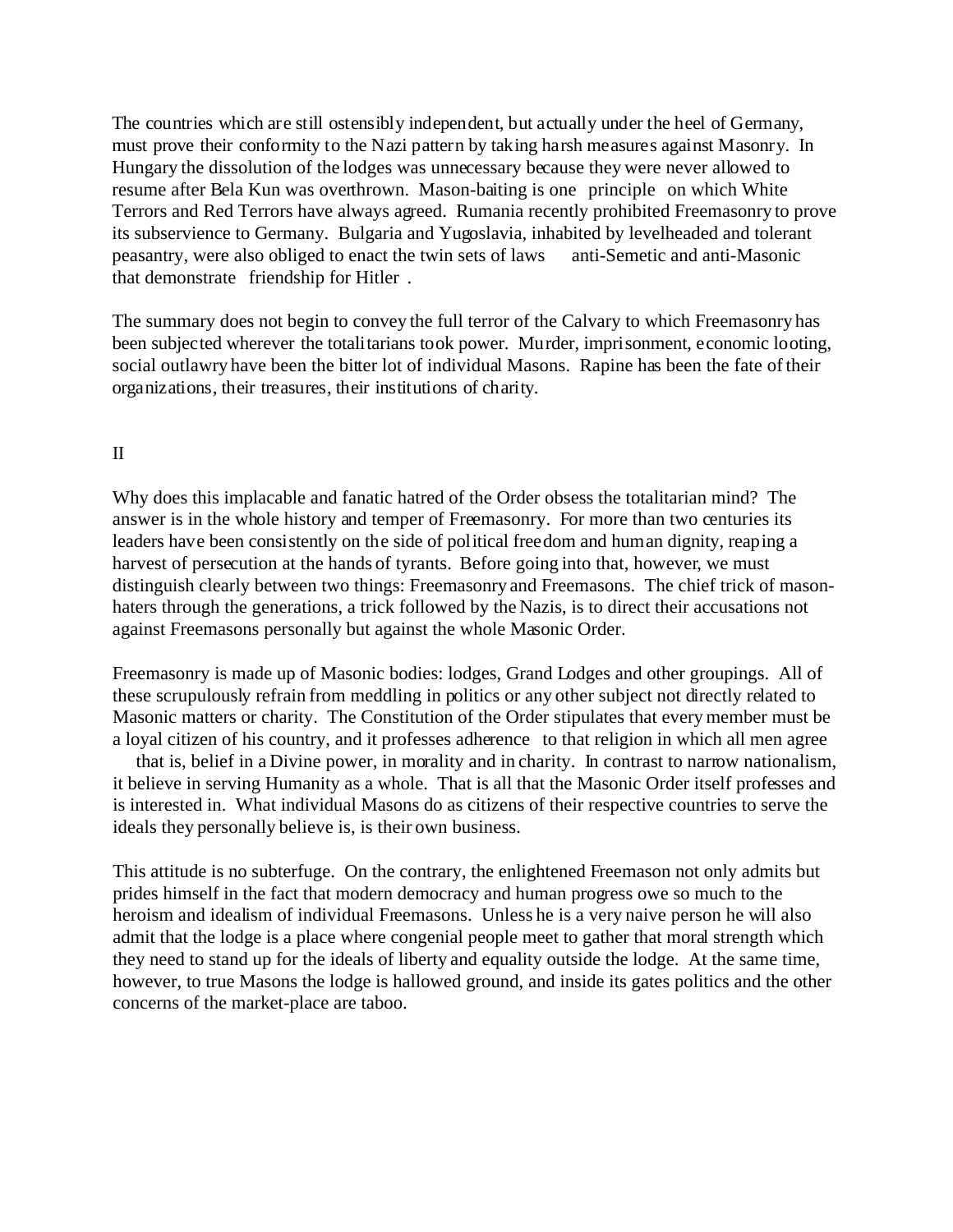The countries which are still ostensibly independent, but actually under the heel of Germany, must prove their conformity to the Nazi pattern by taking harsh measures against Masonry. In Hungary the dissolution of the lodges was unnecessary because they were never allowed to resume after Bela Kun was overthrown. Mason-baiting is one principle on which White Terrors and Red Terrors have always agreed. Rumania recently prohibited Freemasonry to prove its subservience to Germany. Bulgaria and Yugoslavia, inhabited by levelheaded and tolerant peasantry, were also obliged to enact the twin sets of laws anti-Semetic and anti-Masonic that demonstrate friendship for Hitler .

The summary does not begin to convey the full terror of the Calvary to which Freemasonry has been subjected wherever the totalitarians took power. Murder, imprisonment, economic looting, social outlawry have been the bitter lot of individual Masons. Rapine has been the fate of their organizations, their treasures, their institutions of charity.

## II

Why does this implacable and fanatic hatred of the Order obsess the totalitarian mind? The answer is in the whole history and temper of Freemasonry. For more than two centuries its leaders have been consistently on the side of political freedom and human dignity, reaping a harvest of persecution at the hands of tyrants. Before going into that, however, we must distinguish clearly between two things: Freemasonry and Freemasons. The chief trick of masonhaters through the generations, a trick followed by the Nazis, is to direct their accusations not against Freemasons personally but against the whole Masonic Order.

Freemasonry is made up of Masonic bodies: lodges, Grand Lodges and other groupings. All of these scrupulously refrain from meddling in politics or any other subject not directly related to Masonic matters or charity. The Constitution of the Order stipulates that every member must be a loyal citizen of his country, and it professes adherence to that religion in which all men agree

 that is, belief in a Divine power, in morality and in charity. In contrast to narrow nationalism, it believe in serving Humanity as a whole. That is all that the Masonic Order itself professes and is interested in. What individual Masons do as citizens of their respective countries to serve the ideals they personally believe is, is their own business.

This attitude is no subterfuge. On the contrary, the enlightened Freemason not only admits but prides himself in the fact that modern democracy and human progress owe so much to the heroism and idealism of individual Freemasons. Unless he is a very naive person he will also admit that the lodge is a place where congenial people meet to gather that moral strength which they need to stand up for the ideals of liberty and equality outside the lodge. At the same time, however, to true Masons the lodge is hallowed ground, and inside its gates politics and the other concerns of the market-place are taboo.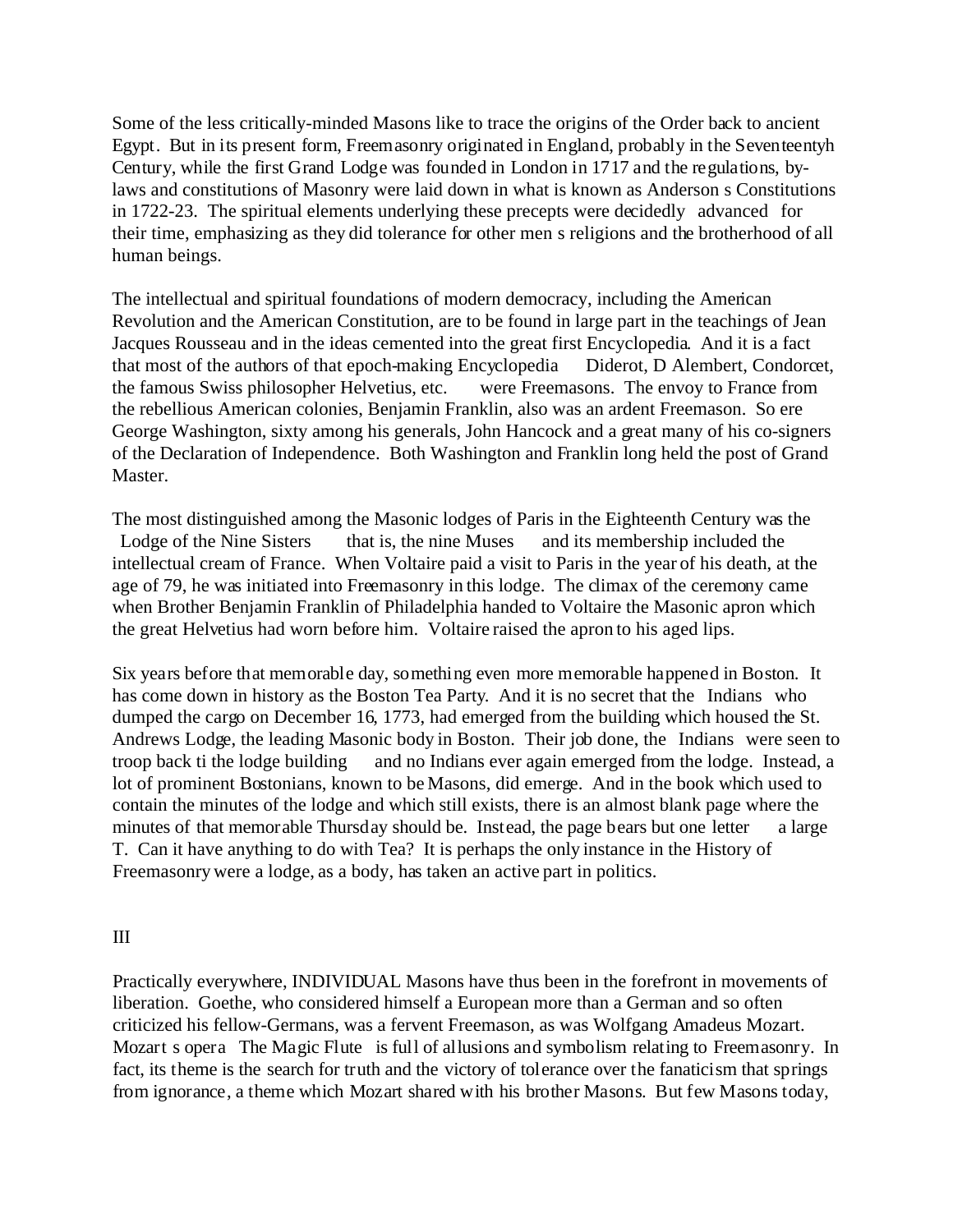Some of the less critically-minded Masons like to trace the origins of the Order back to ancient Egypt. But in its present form, Freemasonry originated in England, probably in the Seventeentyh Century, while the first Grand Lodge was founded in London in 1717 and the regulations, bylaws and constitutions of Masonry were laid down in what is known as Anderson s Constitutions in 1722-23. The spiritual elements underlying these precepts were decidedly advanced for their time, emphasizing as they did tolerance for other men s religions and the brotherhood of all human beings.

The intellectual and spiritual foundations of modern democracy, including the American Revolution and the American Constitution, are to be found in large part in the teachings of Jean Jacques Rousseau and in the ideas cemented into the great first Encyclopedia. And it is a fact that most of the authors of that epoch-making Encyclopedia Diderot, D Alembert, Condorcet, the famous Swiss philosopher Helvetius, etc. were Freemasons. The envoy to France from the rebellious American colonies, Benjamin Franklin, also was an ardent Freemason. So ere George Washington, sixty among his generals, John Hancock and a great many of his co-signers of the Declaration of Independence. Both Washington and Franklin long held the post of Grand Master.

The most distinguished among the Masonic lodges of Paris in the Eighteenth Century was the Lodge of the Nine Sisters that is, the nine Muses and its membership included the Lodge of the Nine Sisters that is, the nine Muses and its membership included the intellectual cream of France. When Voltaire paid a visit to Paris in the year of his death, at the age of 79, he was initiated into Freemasonry in this lodge. The climax of the ceremony came when Brother Benjamin Franklin of Philadelphia handed to Voltaire the Masonic apron which the great Helvetius had worn before him. Voltaire raised the apron to his aged lips.

Six years before that memorable day, something even more memorable happened in Boston. It has come down in history as the Boston Tea Party. And it is no secret that the Indians who dumped the cargo on December 16, 1773, had emerged from the building which housed the St. Andrews Lodge, the leading Masonic body in Boston. Their job done, the Indians were seen to troop back ti the lodge building and no Indians ever again emerged from the lodge. Instead, a lot of prominent Bostonians, known to be Masons, did emerge. And in the book which used to contain the minutes of the lodge and which still exists, there is an almost blank page where the minutes of that memorable Thursday should be. Instead, the page bears but one letter a large T. Can it have anything to do with Tea? It is perhaps the only instance in the History of Freemasonry were a lodge, as a body, has taken an active part in politics.

### III

Practically everywhere, INDIVIDUAL Masons have thus been in the forefront in movements of liberation. Goethe, who considered himself a European more than a German and so often criticized his fellow-Germans, was a fervent Freemason, as was Wolfgang Amadeus Mozart. Mozart s opera The Magic Flute is full of allusions and symbolism relating to Freemasonry. In fact, its theme is the search for truth and the victory of tolerance over the fanaticism that springs from ignorance, a theme which Mozart shared with his brother Masons. But few Masons today,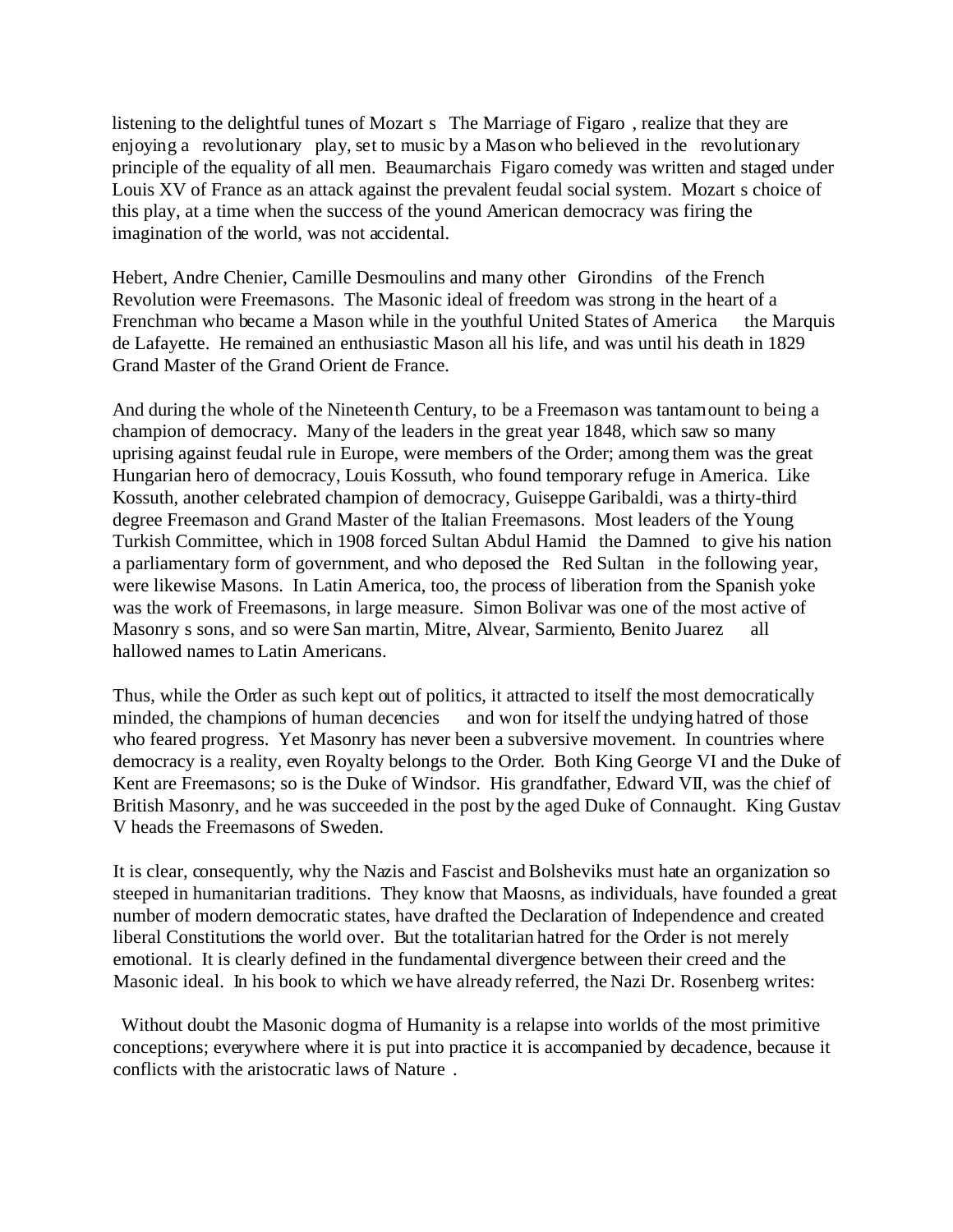listening to the delightful tunes of Mozart s The Marriage of Figaro, realize that they are enjoying a revolutionary play, set to music by a Mason who believed in the revolutionary principle of the equality of all men. Beaumarchais Figaro comedy was written and staged under Louis XV of France as an attack against the prevalent feudal social system. Mozart s choice of this play, at a time when the success of the yound American democracy was firing the imagination of the world, was not accidental.

Hebert, Andre Chenier, Camille Desmoulins and many other Girondins of the French Revolution were Freemasons. The Masonic ideal of freedom was strong in the heart of a Frenchman who became a Mason while in the youthful United States of America the Marquis de Lafayette. He remained an enthusiastic Mason all his life, and was until his death in 1829 Grand Master of the Grand Orient de France.

And during the whole of the Nineteenth Century, to be a Freemason was tantamount to being a champion of democracy. Many of the leaders in the great year 1848, which saw so many uprising against feudal rule in Europe, were members of the Order; among them was the great Hungarian hero of democracy, Louis Kossuth, who found temporary refuge in America. Like Kossuth, another celebrated champion of democracy, Guiseppe Garibaldi, was a thirty-third degree Freemason and Grand Master of the Italian Freemasons. Most leaders of the Young Turkish Committee, which in 1908 forced Sultan Abdul Hamid the Damned to give his nation a parliamentary form of government, and who deposed the Red Sultan in the following year, were likewise Masons. In Latin America, too, the process of liberation from the Spanish yoke was the work of Freemasons, in large measure. Simon Bolivar was one of the most active of Masonry s sons, and so were San martin, Mitre, Alvear, Sarmiento, Benito Juarez all hallowed names to Latin Americans.

Thus, while the Order as such kept out of politics, it attracted to itself the most democratically minded, the champions of human decencies and won for itself the undying hatred of those who feared progress. Yet Masonry has never been a subversive movement. In countries where democracy is a reality, even Royalty belongs to the Order. Both King George VI and the Duke of Kent are Freemasons; so is the Duke of Windsor. His grandfather, Edward VII, was the chief of British Masonry, and he was succeeded in the post by the aged Duke of Connaught. King Gustav V heads the Freemasons of Sweden.

It is clear, consequently, why the Nazis and Fascist and Bolsheviks must hate an organization so steeped in humanitarian traditions. They know that Maosns, as individuals, have founded a great number of modern democratic states, have drafted the Declaration of Independence and created liberal Constitutions the world over. But the totalitarian hatred for the Order is not merely emotional. It is clearly defined in the fundamental divergence between their creed and the Masonic ideal. In his book to which we have already referred, the Nazi Dr. Rosenberg writes:

 Without doubt the Masonic dogma of Humanity is a relapse into worlds of the most primitive conceptions; everywhere where it is put into practice it is accompanied by decadence, because it conflicts with the aristocratic laws of Nature .